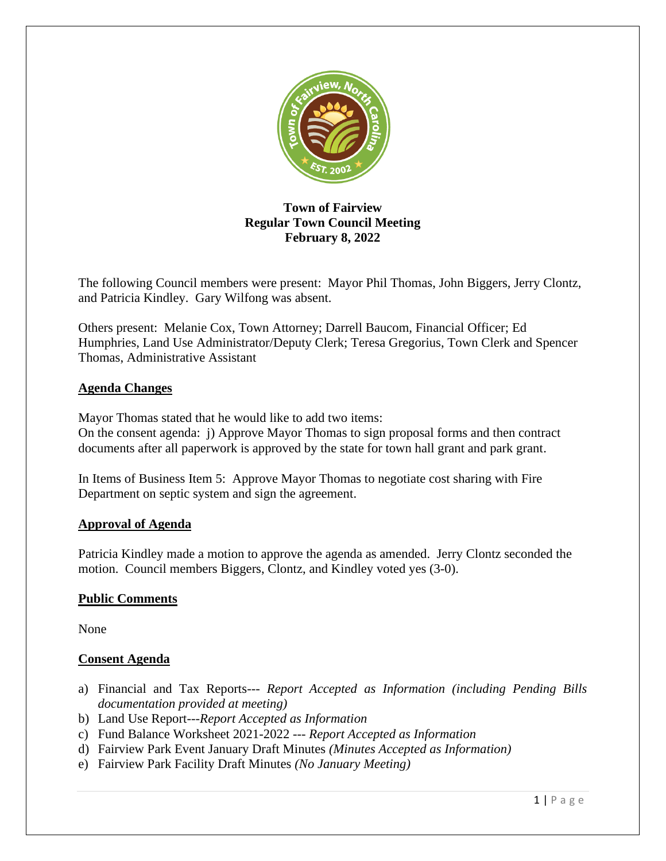

# **Town of Fairview Regular Town Council Meeting February 8, 2022**

The following Council members were present: Mayor Phil Thomas, John Biggers, Jerry Clontz, and Patricia Kindley. Gary Wilfong was absent.

Others present: Melanie Cox, Town Attorney; Darrell Baucom, Financial Officer; Ed Humphries, Land Use Administrator/Deputy Clerk; Teresa Gregorius, Town Clerk and Spencer Thomas, Administrative Assistant

# **Agenda Changes**

Mayor Thomas stated that he would like to add two items:

On the consent agenda: j) Approve Mayor Thomas to sign proposal forms and then contract documents after all paperwork is approved by the state for town hall grant and park grant.

In Items of Business Item 5: Approve Mayor Thomas to negotiate cost sharing with Fire Department on septic system and sign the agreement.

# **Approval of Agenda**

Patricia Kindley made a motion to approve the agenda as amended. Jerry Clontz seconded the motion. Council members Biggers, Clontz, and Kindley voted yes (3-0).

# **Public Comments**

None

# **Consent Agenda**

- a) Financial and Tax Reports--- *Report Accepted as Information (including Pending Bills documentation provided at meeting)*
- b) Land Use Report---*Report Accepted as Information*
- c) Fund Balance Worksheet 2021-2022 --- *Report Accepted as Information*
- d) Fairview Park Event January Draft Minutes *(Minutes Accepted as Information)*
- e) Fairview Park Facility Draft Minutes *(No January Meeting)*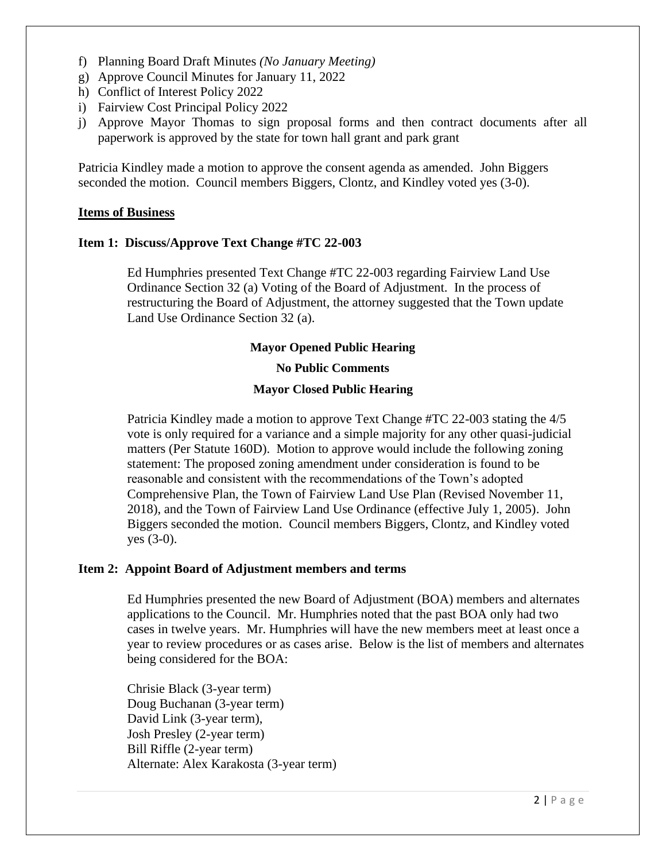- f) Planning Board Draft Minutes *(No January Meeting)*
- g) Approve Council Minutes for January 11, 2022
- h) Conflict of Interest Policy 2022
- i) Fairview Cost Principal Policy 2022
- j) Approve Mayor Thomas to sign proposal forms and then contract documents after all paperwork is approved by the state for town hall grant and park grant

Patricia Kindley made a motion to approve the consent agenda as amended. John Biggers seconded the motion. Council members Biggers, Clontz, and Kindley voted yes (3-0).

#### **Items of Business**

#### **Item 1: Discuss/Approve Text Change #TC 22-003**

Ed Humphries presented Text Change #TC 22-003 regarding Fairview Land Use Ordinance Section 32 (a) Voting of the Board of Adjustment. In the process of restructuring the Board of Adjustment, the attorney suggested that the Town update Land Use Ordinance Section 32 (a).

#### **Mayor Opened Public Hearing**

### **No Public Comments**

#### **Mayor Closed Public Hearing**

Patricia Kindley made a motion to approve Text Change #TC 22-003 stating the 4/5 vote is only required for a variance and a simple majority for any other quasi-judicial matters (Per Statute 160D). Motion to approve would include the following zoning statement: The proposed zoning amendment under consideration is found to be reasonable and consistent with the recommendations of the Town's adopted Comprehensive Plan, the Town of Fairview Land Use Plan (Revised November 11, 2018), and the Town of Fairview Land Use Ordinance (effective July 1, 2005). John Biggers seconded the motion. Council members Biggers, Clontz, and Kindley voted yes (3-0).

#### **Item 2: Appoint Board of Adjustment members and terms**

Ed Humphries presented the new Board of Adjustment (BOA) members and alternates applications to the Council. Mr. Humphries noted that the past BOA only had two cases in twelve years. Mr. Humphries will have the new members meet at least once a year to review procedures or as cases arise. Below is the list of members and alternates being considered for the BOA:

Chrisie Black (3-year term) Doug Buchanan (3-year term) David Link (3-year term), Josh Presley (2-year term) Bill Riffle (2-year term) Alternate: Alex Karakosta (3-year term)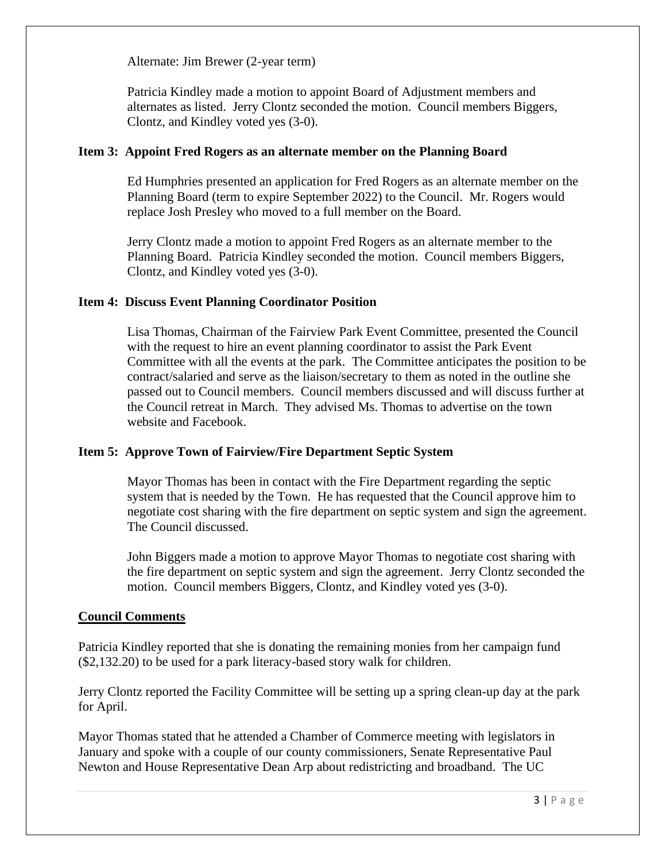Alternate: Jim Brewer (2-year term)

Patricia Kindley made a motion to appoint Board of Adjustment members and alternates as listed. Jerry Clontz seconded the motion. Council members Biggers, Clontz, and Kindley voted yes (3-0).

### **Item 3: Appoint Fred Rogers as an alternate member on the Planning Board**

Ed Humphries presented an application for Fred Rogers as an alternate member on the Planning Board (term to expire September 2022) to the Council. Mr. Rogers would replace Josh Presley who moved to a full member on the Board.

Jerry Clontz made a motion to appoint Fred Rogers as an alternate member to the Planning Board. Patricia Kindley seconded the motion. Council members Biggers, Clontz, and Kindley voted yes (3-0).

# **Item 4: Discuss Event Planning Coordinator Position**

Lisa Thomas, Chairman of the Fairview Park Event Committee, presented the Council with the request to hire an event planning coordinator to assist the Park Event Committee with all the events at the park. The Committee anticipates the position to be contract/salaried and serve as the liaison/secretary to them as noted in the outline she passed out to Council members. Council members discussed and will discuss further at the Council retreat in March. They advised Ms. Thomas to advertise on the town website and Facebook.

# **Item 5: Approve Town of Fairview/Fire Department Septic System**

Mayor Thomas has been in contact with the Fire Department regarding the septic system that is needed by the Town. He has requested that the Council approve him to negotiate cost sharing with the fire department on septic system and sign the agreement. The Council discussed.

John Biggers made a motion to approve Mayor Thomas to negotiate cost sharing with the fire department on septic system and sign the agreement. Jerry Clontz seconded the motion. Council members Biggers, Clontz, and Kindley voted yes (3-0).

# **Council Comments**

Patricia Kindley reported that she is donating the remaining monies from her campaign fund (\$2,132.20) to be used for a park literacy-based story walk for children.

Jerry Clontz reported the Facility Committee will be setting up a spring clean-up day at the park for April.

Mayor Thomas stated that he attended a Chamber of Commerce meeting with legislators in January and spoke with a couple of our county commissioners, Senate Representative Paul Newton and House Representative Dean Arp about redistricting and broadband. The UC